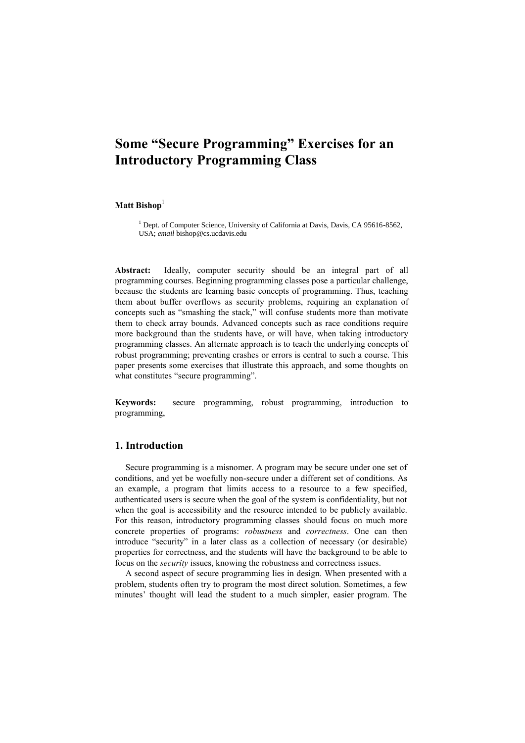# **Some "Secure Programming" Exercises for an Introductory Programming Class**

## **Matt Bishop**<sup>1</sup>

<sup>1</sup> Dept. of Computer Science, University of California at Davis, Davis, CA 95616-8562, USA; *email* bishop@cs.ucdavis.edu

**Abstract:** Ideally, computer security should be an integral part of all programming courses. Beginning programming classes pose a particular challenge, because the students are learning basic concepts of programming. Thus, teaching them about buffer overflows as security problems, requiring an explanation of concepts such as "smashing the stack," will confuse students more than motivate them to check array bounds. Advanced concepts such as race conditions require more background than the students have, or will have, when taking introductory programming classes. An alternate approach is to teach the underlying concepts of robust programming; preventing crashes or errors is central to such a course. This paper presents some exercises that illustrate this approach, and some thoughts on what constitutes "secure programming".

**Keywords:** secure programming, robust programming, introduction to programming,

#### **1. Introduction**

Secure programming is a misnomer. A program may be secure under one set of conditions, and yet be woefully non-secure under a different set of conditions. As an example, a program that limits access to a resource to a few specified, authenticated users is secure when the goal of the system is confidentiality, but not when the goal is accessibility and the resource intended to be publicly available. For this reason, introductory programming classes should focus on much more concrete properties of programs: *robustness* and *correctness*. One can then introduce "security" in a later class as a collection of necessary (or desirable) properties for correctness, and the students will have the background to be able to focus on the *security* issues, knowing the robustness and correctness issues.

A second aspect of secure programming lies in design. When presented with a problem, students often try to program the most direct solution. Sometimes, a few minutes' thought will lead the student to a much simpler, easier program. The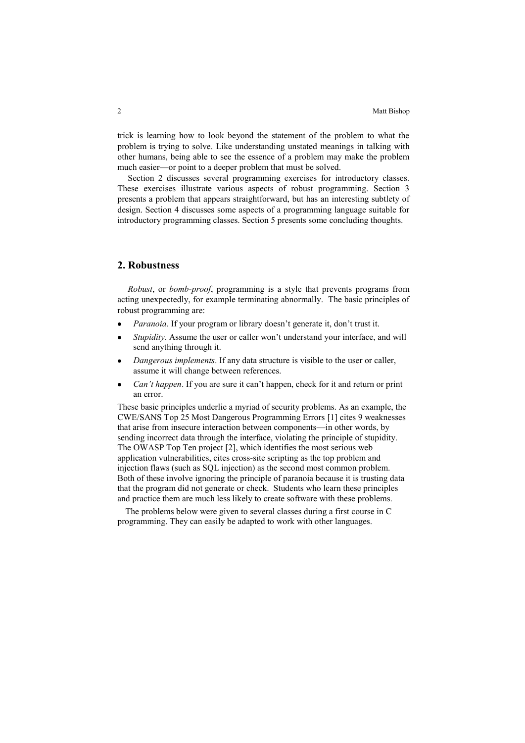trick is learning how to look beyond the statement of the problem to what the problem is trying to solve. Like understanding unstated meanings in talking with other humans, being able to see the essence of a problem may make the problem much easier—or point to a deeper problem that must be solved.

Section 2 discusses several programming exercises for introductory classes. These exercises illustrate various aspects of robust programming. Section 3 presents a problem that appears straightforward, but has an interesting subtlety of design. Section 4 discusses some aspects of a programming language suitable for introductory programming classes. Section 5 presents some concluding thoughts.

# **2. Robustness**

*Robust*, or *bomb-proof*, programming is a style that prevents programs from acting unexpectedly, for example terminating abnormally. The basic principles of robust programming are:

- *Paranoia*. If your program or library doesn't generate it, don't trust it.
- *Stupidity*. Assume the user or caller won't understand your interface, and will send anything through it.
- *Dangerous implements*. If any data structure is visible to the user or caller, assume it will change between references.
- *Can't happen*. If you are sure it can't happen, check for it and return or print an error.

These basic principles underlie a myriad of security problems. As an example, the CWE/SANS Top 25 Most Dangerous Programming Errors [1] cites 9 weaknesses that arise from insecure interaction between components—in other words, by sending incorrect data through the interface, violating the principle of stupidity. The OWASP Top Ten project [2], which identifies the most serious web application vulnerabilities, cites cross-site scripting as the top problem and injection flaws (such as SQL injection) as the second most common problem. Both of these involve ignoring the principle of paranoia because it is trusting data that the program did not generate or check. Students who learn these principles and practice them are much less likely to create software with these problems.

The problems below were given to several classes during a first course in C programming. They can easily be adapted to work with other languages.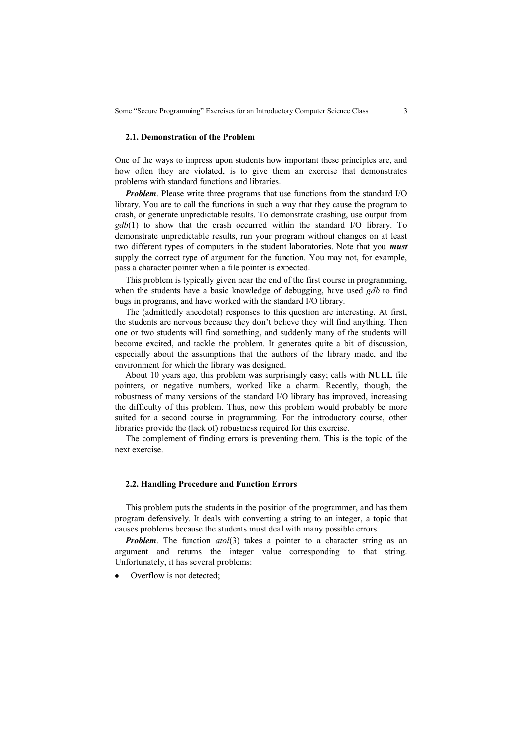#### **2.1. Demonstration of the Problem**

One of the ways to impress upon students how important these principles are, and how often they are violated, is to give them an exercise that demonstrates problems with standard functions and libraries.

*Problem*. Please write three programs that use functions from the standard I/O library. You are to call the functions in such a way that they cause the program to crash, or generate unpredictable results. To demonstrate crashing, use output from *gdb*(1) to show that the crash occurred within the standard I/O library. To demonstrate unpredictable results, run your program without changes on at least two different types of computers in the student laboratories. Note that you *must* supply the correct type of argument for the function. You may not, for example, pass a character pointer when a file pointer is expected.

This problem is typically given near the end of the first course in programming, when the students have a basic knowledge of debugging, have used *gdb* to find bugs in programs, and have worked with the standard I/O library.

The (admittedly anecdotal) responses to this question are interesting. At first, the students are nervous because they don't believe they will find anything. Then one or two students will find something, and suddenly many of the students will become excited, and tackle the problem. It generates quite a bit of discussion, especially about the assumptions that the authors of the library made, and the environment for which the library was designed.

About 10 years ago, this problem was surprisingly easy; calls with **NULL** file pointers, or negative numbers, worked like a charm. Recently, though, the robustness of many versions of the standard I/O library has improved, increasing the difficulty of this problem. Thus, now this problem would probably be more suited for a second course in programming. For the introductory course, other libraries provide the (lack of) robustness required for this exercise.

The complement of finding errors is preventing them. This is the topic of the next exercise.

#### **2.2. Handling Procedure and Function Errors**

This problem puts the students in the position of the programmer, and has them program defensively. It deals with converting a string to an integer, a topic that causes problems because the students must deal with many possible errors.

*Problem*. The function *atol*(3) takes a pointer to a character string as an argument and returns the integer value corresponding to that string. Unfortunately, it has several problems:

Overflow is not detected;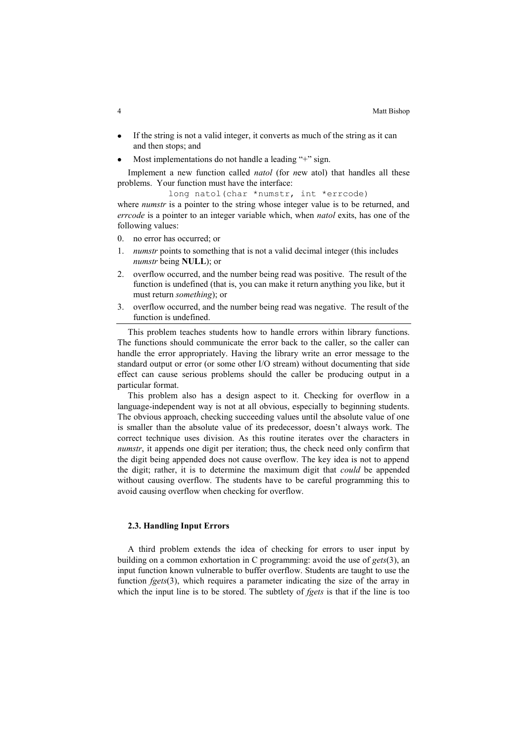- If the string is not a valid integer, it converts as much of the string as it can and then stops; and
- Most implementations do not handle a leading "+" sign.

Implement a new function called *natol* (for *n*ew atol) that handles all these problems. Your function must have the interface:

```
long natol(char *numstr, int *errcode)
```
where *numstr* is a pointer to the string whose integer value is to be returned, and *errcode* is a pointer to an integer variable which, when *natol* exits, has one of the following values:

- 0. no error has occurred; or
- 1. *numstr* points to something that is not a valid decimal integer (this includes *numstr* being **NULL**); or
- 2. overflow occurred, and the number being read was positive. The result of the function is undefined (that is, you can make it return anything you like, but it must return *something*); or
- 3. overflow occurred, and the number being read was negative. The result of the function is undefined.

This problem teaches students how to handle errors within library functions. The functions should communicate the error back to the caller, so the caller can handle the error appropriately. Having the library write an error message to the standard output or error (or some other I/O stream) without documenting that side effect can cause serious problems should the caller be producing output in a particular format.

This problem also has a design aspect to it. Checking for overflow in a language-independent way is not at all obvious, especially to beginning students. The obvious approach, checking succeeding values until the absolute value of one is smaller than the absolute value of its predecessor, doesn't always work. The correct technique uses division. As this routine iterates over the characters in *numstr*, it appends one digit per iteration; thus, the check need only confirm that the digit being appended does not cause overflow. The key idea is not to append the digit; rather, it is to determine the maximum digit that *could* be appended without causing overflow. The students have to be careful programming this to avoid causing overflow when checking for overflow.

### **2.3. Handling Input Errors**

A third problem extends the idea of checking for errors to user input by building on a common exhortation in C programming: avoid the use of *gets*(3), an input function known vulnerable to buffer overflow. Students are taught to use the function *fgets*(3), which requires a parameter indicating the size of the array in which the input line is to be stored. The subtlety of *fgets* is that if the line is too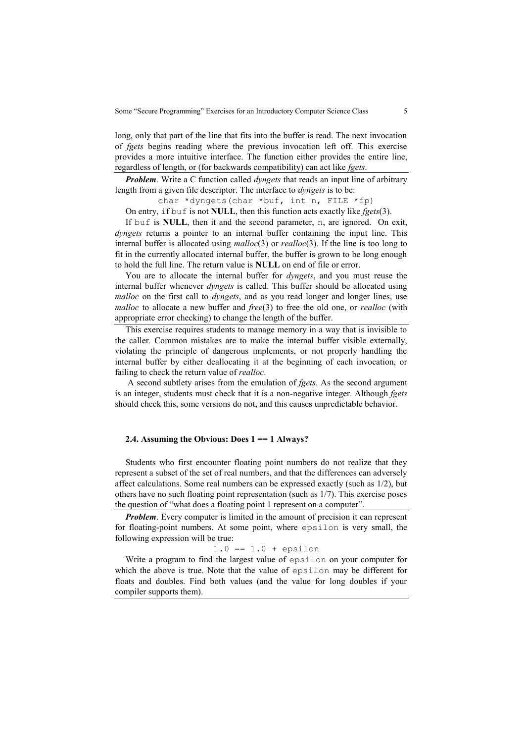long, only that part of the line that fits into the buffer is read. The next invocation of *fgets* begins reading where the previous invocation left off. This exercise provides a more intuitive interface. The function either provides the entire line, regardless of length, or (for backwards compatibility) can act like *fgets*.

*Problem*. Write a C function called *dyngets* that reads an input line of arbitrary length from a given file descriptor. The interface to *dyngets* is to be:

char \*dyngets(char \*buf, int n, FILE \*fp)

On entry, if buf is not **NULL**, then this function acts exactly like *fgets*(3).

If buf is **NULL**, then it and the second parameter, n, are ignored. On exit, *dyngets* returns a pointer to an internal buffer containing the input line. This internal buffer is allocated using *malloc*(3) or *realloc*(3). If the line is too long to fit in the currently allocated internal buffer, the buffer is grown to be long enough to hold the full line. The return value is **NULL** on end of file or error.

You are to allocate the internal buffer for *dyngets*, and you must reuse the internal buffer whenever *dyngets* is called. This buffer should be allocated using *malloc* on the first call to *dyngets*, and as you read longer and longer lines, use *malloc* to allocate a new buffer and *free*(3) to free the old one, or *realloc* (with appropriate error checking) to change the length of the buffer.

This exercise requires students to manage memory in a way that is invisible to the caller. Common mistakes are to make the internal buffer visible externally, violating the principle of dangerous implements, or not properly handling the internal buffer by either deallocating it at the beginning of each invocation, or failing to check the return value of *realloc*.

A second subtlety arises from the emulation of *fgets*. As the second argument is an integer, students must check that it is a non-negative integer. Although *fgets* should check this, some versions do not, and this causes unpredictable behavior.

#### **2.4. Assuming the Obvious: Does 1 == 1 Always?**

Students who first encounter floating point numbers do not realize that they represent a subset of the set of real numbers, and that the differences can adversely affect calculations. Some real numbers can be expressed exactly (such as 1/2), but others have no such floating point representation (such as 1/7). This exercise poses the question of "what does a floating point 1 represent on a computer".

*Problem*. Every computer is limited in the amount of precision it can represent for floating-point numbers. At some point, where epsilon is very small, the following expression will be true:

 $1.0 = 1.0 + epsilon$ 

Write a program to find the largest value of epsilon on your computer for which the above is true. Note that the value of epsilon may be different for floats and doubles. Find both values (and the value for long doubles if your compiler supports them).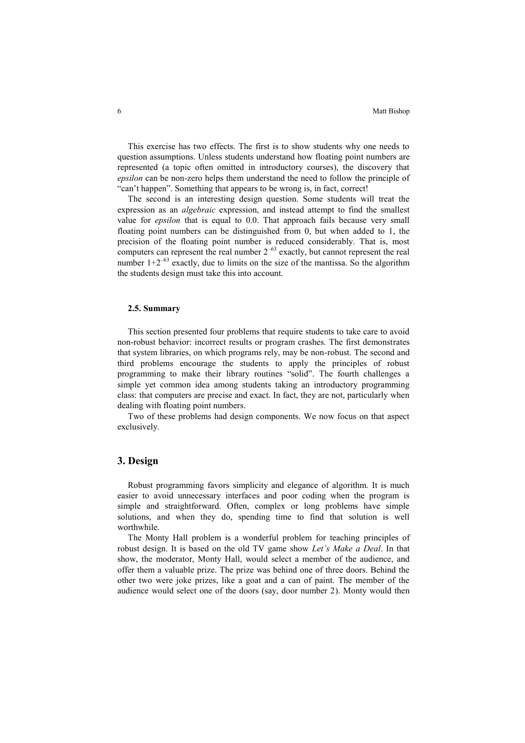This exercise has two effects. The first is to show students why one needs to question assumptions. Unless students understand how floating point numbers are represented (a topic often omitted in introductory courses), the discovery that *epsilon* can be non-zero helps them understand the need to follow the principle of "can't happen". Something that appears to be wrong is, in fact, correct!

The second is an interesting design question. Some students will treat the expression as an *algebraic* expression, and instead attempt to find the smallest value for *epsilon* that is equal to 0.0. That approach fails because very small floating point numbers can be distinguished from 0, but when added to 1, the precision of the floating point number is reduced considerably. That is, most computers can represent the real number  $2^{-63}$  exactly, but cannot represent the real number  $1+2^{-63}$  exactly, due to limits on the size of the mantissa. So the algorithm the students design must take this into account.

#### **2.5. Summary**

This section presented four problems that require students to take care to avoid non-robust behavior: incorrect results or program crashes. The first demonstrates that system libraries, on which programs rely, may be non-robust. The second and third problems encourage the students to apply the principles of robust programming to make their library routines "solid". The fourth challenges a simple yet common idea among students taking an introductory programming class: that computers are precise and exact. In fact, they are not, particularly when dealing with floating point numbers.

Two of these problems had design components. We now focus on that aspect exclusively.

## **3. Design**

Robust programming favors simplicity and elegance of algorithm. It is much easier to avoid unnecessary interfaces and poor coding when the program is simple and straightforward. Often, complex or long problems have simple solutions, and when they do, spending time to find that solution is well worthwhile.

The Monty Hall problem is a wonderful problem for teaching principles of robust design. It is based on the old TV game show *Let's Make a Deal*. In that show, the moderator, Monty Hall, would select a member of the audience, and offer them a valuable prize. The prize was behind one of three doors. Behind the other two were joke prizes, like a goat and a can of paint. The member of the audience would select one of the doors (say, door number 2). Monty would then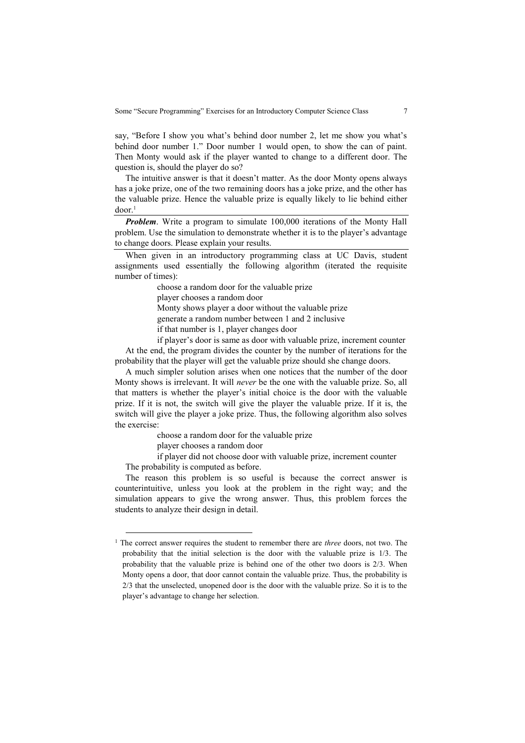Some "Secure Programming" Exercises for an Introductory Computer Science Class 7

say, "Before I show you what's behind door number 2, let me show you what's behind door number 1." Door number 1 would open, to show the can of paint. Then Monty would ask if the player wanted to change to a different door. The question is, should the player do so?

The intuitive answer is that it doesn't matter. As the door Monty opens always has a joke prize, one of the two remaining doors has a joke prize, and the other has the valuable prize. Hence the valuable prize is equally likely to lie behind either door.<sup>1</sup>

*Problem*. Write a program to simulate 100,000 iterations of the Monty Hall problem. Use the simulation to demonstrate whether it is to the player's advantage to change doors. Please explain your results.

When given in an introductory programming class at UC Davis, student assignments used essentially the following algorithm (iterated the requisite number of times):

choose a random door for the valuable prize

player chooses a random door

Monty shows player a door without the valuable prize

generate a random number between 1 and 2 inclusive

if that number is 1, player changes door

if player's door is same as door with valuable prize, increment counter At the end, the program divides the counter by the number of iterations for the probability that the player will get the valuable prize should she change doors.

A much simpler solution arises when one notices that the number of the door Monty shows is irrelevant. It will *never* be the one with the valuable prize. So, all that matters is whether the player's initial choice is the door with the valuable prize. If it is not, the switch will give the player the valuable prize. If it is, the switch will give the player a joke prize. Thus, the following algorithm also solves the exercise:

choose a random door for the valuable prize

player chooses a random door

if player did not choose door with valuable prize, increment counter

The probability is computed as before.

 $\overline{a}$ 

The reason this problem is so useful is because the correct answer is counterintuitive, unless you look at the problem in the right way; and the simulation appears to give the wrong answer. Thus, this problem forces the students to analyze their design in detail.

<sup>1</sup> The correct answer requires the student to remember there are *three* doors, not two. The probability that the initial selection is the door with the valuable prize is 1/3. The probability that the valuable prize is behind one of the other two doors is 2/3. When Monty opens a door, that door cannot contain the valuable prize. Thus, the probability is 2/3 that the unselected, unopened door is the door with the valuable prize. So it is to the player's advantage to change her selection.